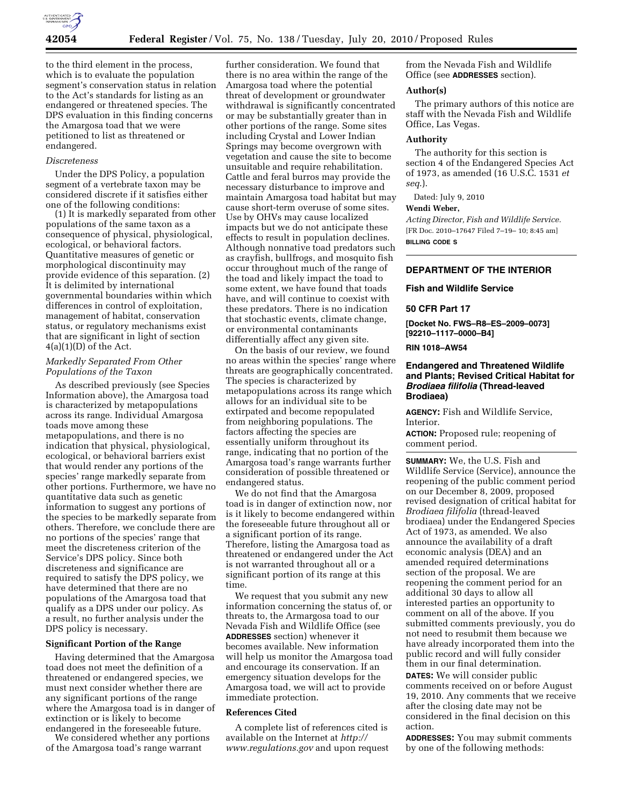

to the third element in the process, which is to evaluate the population segment's conservation status in relation to the Act's standards for listing as an endangered or threatened species. The DPS evaluation in this finding concerns the Amargosa toad that we were petitioned to list as threatened or endangered.

## *Discreteness*

Under the DPS Policy, a population segment of a vertebrate taxon may be considered discrete if it satisfies either one of the following conditions:

(1) It is markedly separated from other populations of the same taxon as a consequence of physical, physiological, ecological, or behavioral factors. Quantitative measures of genetic or morphological discontinuity may provide evidence of this separation. (2) It is delimited by international governmental boundaries within which differences in control of exploitation, management of habitat, conservation status, or regulatory mechanisms exist that are significant in light of section  $4(a)(1)(D)$  of the Act.

## *Markedly Separated From Other Populations of the Taxon*

As described previously (see Species Information above), the Amargosa toad is characterized by metapopulations across its range. Individual Amargosa toads move among these metapopulations, and there is no indication that physical, physiological, ecological, or behavioral barriers exist that would render any portions of the species' range markedly separate from other portions. Furthermore, we have no quantitative data such as genetic information to suggest any portions of the species to be markedly separate from others. Therefore, we conclude there are no portions of the species' range that meet the discreteness criterion of the Service's DPS policy. Since both discreteness and significance are required to satisfy the DPS policy, we have determined that there are no populations of the Amargosa toad that qualify as a DPS under our policy. As a result, no further analysis under the DPS policy is necessary.

# **Significant Portion of the Range**

Having determined that the Amargosa toad does not meet the definition of a threatened or endangered species, we must next consider whether there are any significant portions of the range where the Amargosa toad is in danger of extinction or is likely to become endangered in the foreseeable future.

We considered whether any portions of the Amargosa toad's range warrant

further consideration. We found that there is no area within the range of the Amargosa toad where the potential threat of development or groundwater withdrawal is significantly concentrated or may be substantially greater than in other portions of the range. Some sites including Crystal and Lower Indian Springs may become overgrown with vegetation and cause the site to become unsuitable and require rehabilitation. Cattle and feral burros may provide the necessary disturbance to improve and maintain Amargosa toad habitat but may cause short-term overuse of some sites. Use by OHVs may cause localized impacts but we do not anticipate these effects to result in population declines. Although nonnative toad predators such as crayfish, bullfrogs, and mosquito fish occur throughout much of the range of the toad and likely impact the toad to some extent, we have found that toads have, and will continue to coexist with these predators. There is no indication that stochastic events, climate change, or environmental contaminants differentially affect any given site.

On the basis of our review, we found no areas within the species' range where threats are geographically concentrated. The species is characterized by metapopulations across its range which allows for an individual site to be extirpated and become repopulated from neighboring populations. The factors affecting the species are essentially uniform throughout its range, indicating that no portion of the Amargosa toad's range warrants further consideration of possible threatened or endangered status.

We do not find that the Amargosa toad is in danger of extinction now, nor is it likely to become endangered within the foreseeable future throughout all or a significant portion of its range. Therefore, listing the Amargosa toad as threatened or endangered under the Act is not warranted throughout all or a significant portion of its range at this time.

We request that you submit any new information concerning the status of, or threats to, the Armargosa toad to our Nevada Fish and Wildlife Office (see **ADDRESSES** section) whenever it becomes available. New information will help us monitor the Amargosa toad and encourage its conservation. If an emergency situation develops for the Amargosa toad, we will act to provide immediate protection.

### **References Cited**

A complete list of references cited is available on the Internet at *http:// www.regulations.gov* and upon request from the Nevada Fish and Wildlife Office (see **ADDRESSES** section).

### **Author(s)**

The primary authors of this notice are staff with the Nevada Fish and Wildlife Office, Las Vegas.

## **Authority**

The authority for this section is section 4 of the Endangered Species Act of 1973, as amended (16 U.S.C. 1531 *et seq*.).

Dated: July 9, 2010

#### **Wendi Weber,**

*Acting Director, Fish and Wildlife Service.*  [FR Doc. 2010–17647 Filed 7–19– 10; 8:45 am] **BILLING CODE S** 

### **DEPARTMENT OF THE INTERIOR**

### **Fish and Wildlife Service**

## **50 CFR Part 17**

**[Docket No. FWS–R8–ES–2009–0073] [92210–1117–0000–B4]** 

### **RIN 1018–AW54**

## **Endangered and Threatened Wildlife and Plants; Revised Critical Habitat for**  *Brodiaea filifolia* **(Thread-leaved Brodiaea)**

**AGENCY:** Fish and Wildlife Service, Interior.

**ACTION:** Proposed rule; reopening of comment period.

**SUMMARY:** We, the U.S. Fish and Wildlife Service (Service), announce the reopening of the public comment period on our December 8, 2009, proposed revised designation of critical habitat for *Brodiaea filifolia* (thread-leaved brodiaea) under the Endangered Species Act of 1973, as amended. We also announce the availability of a draft economic analysis (DEA) and an amended required determinations section of the proposal. We are reopening the comment period for an additional 30 days to allow all interested parties an opportunity to comment on all of the above. If you submitted comments previously, you do not need to resubmit them because we have already incorporated them into the public record and will fully consider them in our final determination. **DATES:** We will consider public comments received on or before August 19, 2010. Any comments that we receive after the closing date may not be considered in the final decision on this action.

**ADDRESSES:** You may submit comments by one of the following methods: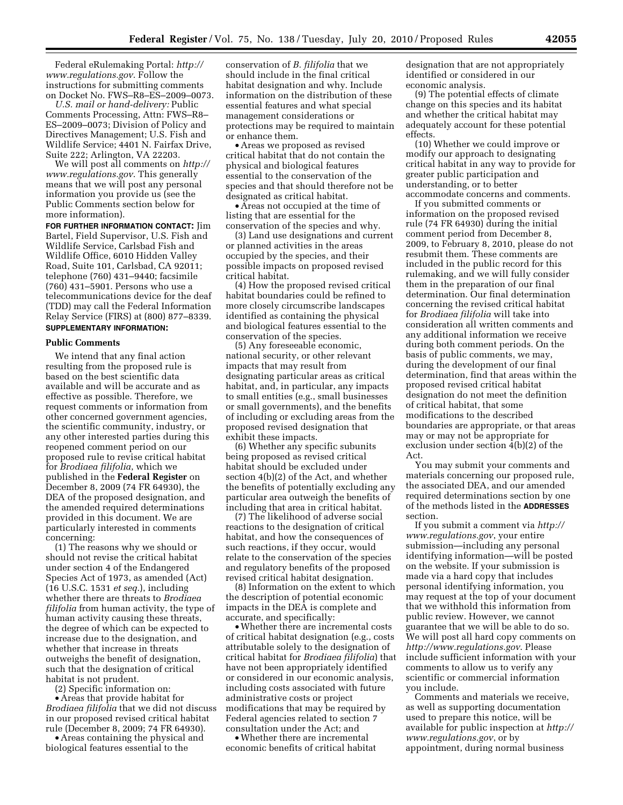Federal eRulemaking Portal: *http:// www.regulations.gov*. Follow the instructions for submitting comments on Docket No. FWS–R8–ES–2009–0073.

*U.S. mail or hand-delivery:* Public Comments Processing, Attn: FWS–R8– ES–2009–0073; Division of Policy and Directives Management; U.S. Fish and Wildlife Service; 4401 N. Fairfax Drive, Suite 222; Arlington, VA 22203.

We will post all comments on *http:// www.regulations.gov*. This generally means that we will post any personal information you provide us (see the Public Comments section below for more information).

**FOR FURTHER INFORMATION CONTACT:** Jim Bartel, Field Supervisor, U.S. Fish and Wildlife Service, Carlsbad Fish and Wildlife Office, 6010 Hidden Valley Road, Suite 101, Carlsbad, CA 92011; telephone (760) 431–9440; facsimile (760) 431–5901. Persons who use a telecommunications device for the deaf (TDD) may call the Federal Information Relay Service (FIRS) at (800) 877–8339.

# **SUPPLEMENTARY INFORMATION:**

### **Public Comments**

We intend that any final action resulting from the proposed rule is based on the best scientific data available and will be accurate and as effective as possible. Therefore, we request comments or information from other concerned government agencies, the scientific community, industry, or any other interested parties during this reopened comment period on our proposed rule to revise critical habitat for *Brodiaea filifolia*, which we published in the **Federal Register** on December 8, 2009 (74 FR 64930), the DEA of the proposed designation, and the amended required determinations provided in this document. We are particularly interested in comments concerning:

(1) The reasons why we should or should not revise the critical habitat under section 4 of the Endangered Species Act of 1973, as amended (Act) (16 U.S.C. 1531 *et seq.*), including whether there are threats to *Brodiaea filifolia* from human activity, the type of human activity causing these threats, the degree of which can be expected to increase due to the designation, and whether that increase in threats outweighs the benefit of designation, such that the designation of critical habitat is not prudent.

(2) Specific information on: • Areas that provide habitat for *Brodiaea filifolia* that we did not discuss in our proposed revised critical habitat rule (December 8, 2009; 74 FR 64930).

• Areas containing the physical and biological features essential to the

conservation of *B. filifolia* that we should include in the final critical habitat designation and why. Include information on the distribution of these essential features and what special management considerations or protections may be required to maintain or enhance them.

• Areas we proposed as revised critical habitat that do not contain the physical and biological features essential to the conservation of the species and that should therefore not be designated as critical habitat.

• Areas not occupied at the time of listing that are essential for the conservation of the species and why.

(3) Land use designations and current or planned activities in the areas occupied by the species, and their possible impacts on proposed revised critical habitat.

(4) How the proposed revised critical habitat boundaries could be refined to more closely circumscribe landscapes identified as containing the physical and biological features essential to the conservation of the species.

(5) Any foreseeable economic, national security, or other relevant impacts that may result from designating particular areas as critical habitat, and, in particular, any impacts to small entities (e.g., small businesses or small governments), and the benefits of including or excluding areas from the proposed revised designation that exhibit these impacts.

(6) Whether any specific subunits being proposed as revised critical habitat should be excluded under section 4(b)(2) of the Act, and whether the benefits of potentially excluding any particular area outweigh the benefits of including that area in critical habitat.

(7) The likelihood of adverse social reactions to the designation of critical habitat, and how the consequences of such reactions, if they occur, would relate to the conservation of the species and regulatory benefits of the proposed revised critical habitat designation.

(8) Information on the extent to which the description of potential economic impacts in the DEA is complete and accurate, and specifically:

•Whether there are incremental costs of critical habitat designation (e.g., costs attributable solely to the designation of critical habitat for *Brodiaea filifolia*) that have not been appropriately identified or considered in our economic analysis, including costs associated with future administrative costs or project modifications that may be required by Federal agencies related to section 7 consultation under the Act; and

•Whether there are incremental economic benefits of critical habitat designation that are not appropriately identified or considered in our economic analysis.

(9) The potential effects of climate change on this species and its habitat and whether the critical habitat may adequately account for these potential effects.

(10) Whether we could improve or modify our approach to designating critical habitat in any way to provide for greater public participation and understanding, or to better accommodate concerns and comments.

If you submitted comments or information on the proposed revised rule (74 FR 64930) during the initial comment period from December 8, 2009, to February 8, 2010, please do not resubmit them. These comments are included in the public record for this rulemaking, and we will fully consider them in the preparation of our final determination. Our final determination concerning the revised critical habitat for *Brodiaea filifolia* will take into consideration all written comments and any additional information we receive during both comment periods. On the basis of public comments, we may, during the development of our final determination, find that areas within the proposed revised critical habitat designation do not meet the definition of critical habitat, that some modifications to the described boundaries are appropriate, or that areas may or may not be appropriate for exclusion under section 4(b)(2) of the Act.

You may submit your comments and materials concerning our proposed rule, the associated DEA, and our amended required determinations section by one of the methods listed in the **ADDRESSES** section.

If you submit a comment via *http:// www.regulations.gov*, your entire submission—including any personal identifying information—will be posted on the website. If your submission is made via a hard copy that includes personal identifying information, you may request at the top of your document that we withhold this information from public review. However, we cannot guarantee that we will be able to do so. We will post all hard copy comments on *http://www.regulations.gov*. Please include sufficient information with your comments to allow us to verify any scientific or commercial information you include.

Comments and materials we receive, as well as supporting documentation used to prepare this notice, will be available for public inspection at *http:// www.regulations.gov*, or by appointment, during normal business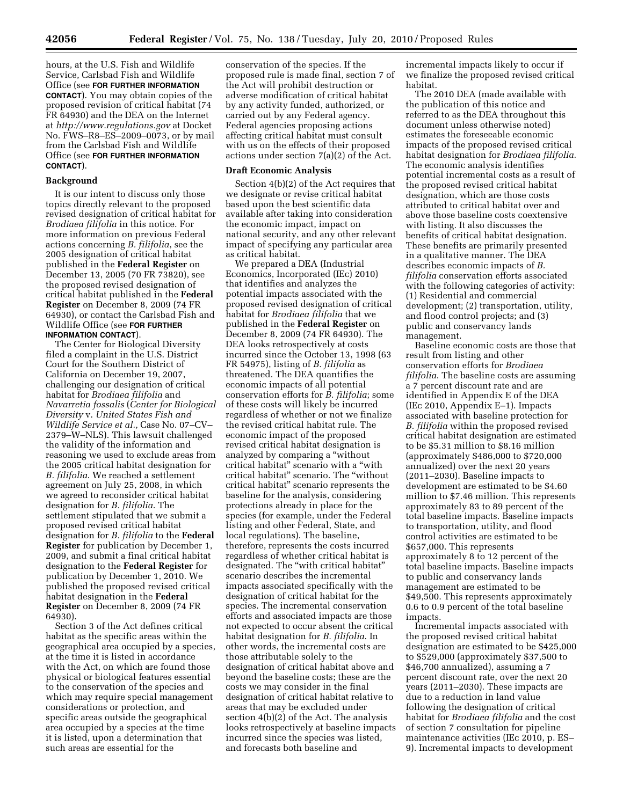hours, at the U.S. Fish and Wildlife Service, Carlsbad Fish and Wildlife Office (see **FOR FURTHER INFORMATION CONTACT**). You may obtain copies of the proposed revision of critical habitat (74 FR 64930) and the DEA on the Internet at *http://www.regulations.gov* at Docket No. FWS–R8–ES–2009–0073, or by mail from the Carlsbad Fish and Wildlife Office (see **FOR FURTHER INFORMATION CONTACT**).

### **Background**

It is our intent to discuss only those topics directly relevant to the proposed revised designation of critical habitat for *Brodiaea filifolia* in this notice. For more information on previous Federal actions concerning *B. filifolia*, see the 2005 designation of critical habitat published in the **Federal Register** on December 13, 2005 (70 FR 73820), see the proposed revised designation of critical habitat published in the **Federal Register** on December 8, 2009 (74 FR 64930), or contact the Carlsbad Fish and Wildlife Office (see **FOR FURTHER INFORMATION CONTACT**).

The Center for Biological Diversity filed a complaint in the U.S. District Court for the Southern District of California on December 19, 2007, challenging our designation of critical habitat for *Brodiaea filifolia* and *Navarretia fossalis* (*Center for Biological Diversity* v. *United States Fish and Wildlife Service et al.,* Case No. 07–CV– 2379–W–NLS). This lawsuit challenged the validity of the information and reasoning we used to exclude areas from the 2005 critical habitat designation for *B. filifolia*. We reached a settlement agreement on July 25, 2008, in which we agreed to reconsider critical habitat designation for *B. filifolia*. The settlement stipulated that we submit a proposed revised critical habitat designation for *B. filifolia* to the **Federal Register** for publication by December 1, 2009, and submit a final critical habitat designation to the **Federal Register** for publication by December 1, 2010. We published the proposed revised critical habitat designation in the **Federal Register** on December 8, 2009 (74 FR 64930).

Section 3 of the Act defines critical habitat as the specific areas within the geographical area occupied by a species, at the time it is listed in accordance with the Act, on which are found those physical or biological features essential to the conservation of the species and which may require special management considerations or protection, and specific areas outside the geographical area occupied by a species at the time it is listed, upon a determination that such areas are essential for the

conservation of the species. If the proposed rule is made final, section 7 of the Act will prohibit destruction or adverse modification of critical habitat by any activity funded, authorized, or carried out by any Federal agency. Federal agencies proposing actions affecting critical habitat must consult with us on the effects of their proposed actions under section 7(a)(2) of the Act.

### **Draft Economic Analysis**

Section 4(b)(2) of the Act requires that we designate or revise critical habitat based upon the best scientific data available after taking into consideration the economic impact, impact on national security, and any other relevant impact of specifying any particular area as critical habitat.

We prepared a DEA (Industrial Economics, Incorporated (IEc) 2010) that identifies and analyzes the potential impacts associated with the proposed revised designation of critical habitat for *Brodiaea filifolia* that we published in the **Federal Register** on December 8, 2009 (74 FR 64930). The DEA looks retrospectively at costs incurred since the October 13, 1998 (63 FR 54975), listing of *B. filifolia* as threatened. The DEA quantifies the economic impacts of all potential conservation efforts for *B. filifolia*; some of these costs will likely be incurred regardless of whether or not we finalize the revised critical habitat rule. The economic impact of the proposed revised critical habitat designation is analyzed by comparing a ''without critical habitat'' scenario with a ''with critical habitat'' scenario. The ''without critical habitat'' scenario represents the baseline for the analysis, considering protections already in place for the species (for example, under the Federal listing and other Federal, State, and local regulations). The baseline, therefore, represents the costs incurred regardless of whether critical habitat is designated. The "with critical habitat" scenario describes the incremental impacts associated specifically with the designation of critical habitat for the species. The incremental conservation efforts and associated impacts are those not expected to occur absent the critical habitat designation for *B. filifolia*. In other words, the incremental costs are those attributable solely to the designation of critical habitat above and beyond the baseline costs; these are the costs we may consider in the final designation of critical habitat relative to areas that may be excluded under section 4(b)(2) of the Act. The analysis looks retrospectively at baseline impacts incurred since the species was listed, and forecasts both baseline and

incremental impacts likely to occur if we finalize the proposed revised critical habitat.

The 2010 DEA (made available with the publication of this notice and referred to as the DEA throughout this document unless otherwise noted) estimates the foreseeable economic impacts of the proposed revised critical habitat designation for *Brodiaea filifolia*. The economic analysis identifies potential incremental costs as a result of the proposed revised critical habitat designation, which are those costs attributed to critical habitat over and above those baseline costs coextensive with listing. It also discusses the benefits of critical habitat designation. These benefits are primarily presented in a qualitative manner. The DEA describes economic impacts of *B. filifolia* conservation efforts associated with the following categories of activity: (1) Residential and commercial development; (2) transportation, utility, and flood control projects; and (3) public and conservancy lands management.

Baseline economic costs are those that result from listing and other conservation efforts for *Brodiaea filifolia*. The baseline costs are assuming a 7 percent discount rate and are identified in Appendix E of the DEA (IEc 2010, Appendix E–1). Impacts associated with baseline protection for *B. filifolia* within the proposed revised critical habitat designation are estimated to be \$5.31 million to \$8.16 million (approximately \$486,000 to \$720,000 annualized) over the next 20 years (2011–2030). Baseline impacts to development are estimated to be \$4.60 million to \$7.46 million. This represents approximately 83 to 89 percent of the total baseline impacts. Baseline impacts to transportation, utility, and flood control activities are estimated to be \$657,000. This represents approximately 8 to 12 percent of the total baseline impacts. Baseline impacts to public and conservancy lands management are estimated to be \$49,500. This represents approximately 0.6 to 0.9 percent of the total baseline impacts.

Incremental impacts associated with the proposed revised critical habitat designation are estimated to be \$425,000 to \$529,000 (approximately \$37,500 to \$46,700 annualized), assuming a 7 percent discount rate, over the next 20 years (2011–2030). These impacts are due to a reduction in land value following the designation of critical habitat for *Brodiaea filifolia* and the cost of section 7 consultation for pipeline maintenance activities (IEc 2010, p. ES– 9). Incremental impacts to development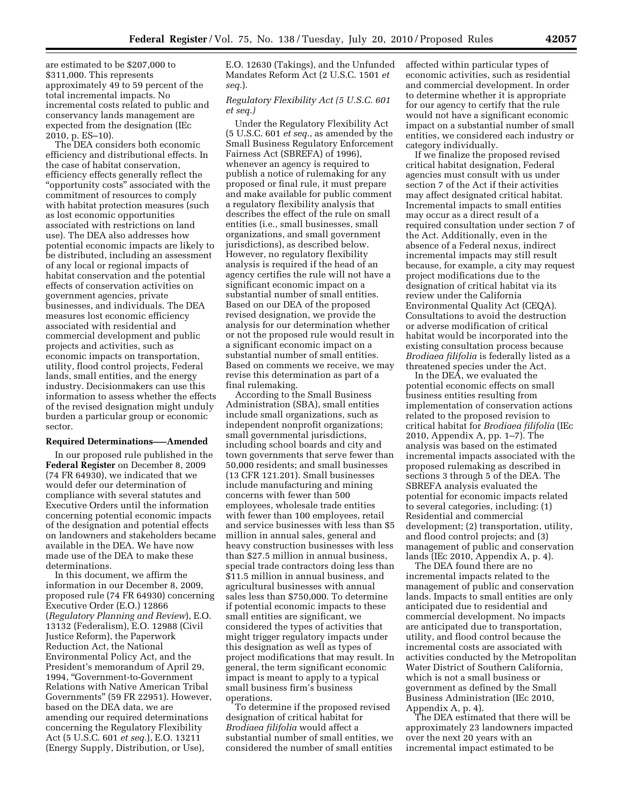are estimated to be \$207,000 to \$311,000. This represents approximately 49 to 59 percent of the total incremental impacts. No incremental costs related to public and conservancy lands management are expected from the designation (IEc 2010, p. ES–10).

The DEA considers both economic efficiency and distributional effects. In the case of habitat conservation, efficiency effects generally reflect the ''opportunity costs'' associated with the commitment of resources to comply with habitat protection measures (such as lost economic opportunities associated with restrictions on land use). The DEA also addresses how potential economic impacts are likely to be distributed, including an assessment of any local or regional impacts of habitat conservation and the potential effects of conservation activities on government agencies, private businesses, and individuals. The DEA measures lost economic efficiency associated with residential and commercial development and public projects and activities, such as economic impacts on transportation, utility, flood control projects, Federal lands, small entities, and the energy industry. Decisionmakers can use this information to assess whether the effects of the revised designation might unduly burden a particular group or economic sector.

#### **Required Determinations–—Amended**

In our proposed rule published in the **Federal Register** on December 8, 2009 (74 FR 64930), we indicated that we would defer our determination of compliance with several statutes and Executive Orders until the information concerning potential economic impacts of the designation and potential effects on landowners and stakeholders became available in the DEA. We have now made use of the DEA to make these determinations.

In this document, we affirm the information in our December 8, 2009, proposed rule (74 FR 64930) concerning Executive Order (E.O.) 12866 (*Regulatory Planning and Review*), E.O. 13132 (Federalism), E.O. 12988 (Civil Justice Reform), the Paperwork Reduction Act, the National Environmental Policy Act, and the President's memorandum of April 29, 1994, ''Government-to-Government Relations with Native American Tribal Governments'' (59 FR 22951). However, based on the DEA data, we are amending our required determinations concerning the Regulatory Flexibility Act (5 U.S.C. 601 *et seq.*), E.O. 13211 (Energy Supply, Distribution, or Use),

E.O. 12630 (Takings), and the Unfunded Mandates Reform Act (2 U.S.C. 1501 *et seq.*).

# *Regulatory Flexibility Act (5 U.S.C. 601 et seq.)*

Under the Regulatory Flexibility Act (5 U.S.C. 601 *et seq.*, as amended by the Small Business Regulatory Enforcement Fairness Act (SBREFA) of 1996), whenever an agency is required to publish a notice of rulemaking for any proposed or final rule, it must prepare and make available for public comment a regulatory flexibility analysis that describes the effect of the rule on small entities (i.e., small businesses, small organizations, and small government jurisdictions), as described below. However, no regulatory flexibility analysis is required if the head of an agency certifies the rule will not have a significant economic impact on a substantial number of small entities. Based on our DEA of the proposed revised designation, we provide the analysis for our determination whether or not the proposed rule would result in a significant economic impact on a substantial number of small entities. Based on comments we receive, we may revise this determination as part of a final rulemaking.

According to the Small Business Administration (SBA), small entities include small organizations, such as independent nonprofit organizations; small governmental jurisdictions, including school boards and city and town governments that serve fewer than 50,000 residents; and small businesses (13 CFR 121.201). Small businesses include manufacturing and mining concerns with fewer than 500 employees, wholesale trade entities with fewer than 100 employees, retail and service businesses with less than \$5 million in annual sales, general and heavy construction businesses with less than \$27.5 million in annual business, special trade contractors doing less than \$11.5 million in annual business, and agricultural businesses with annual sales less than \$750,000. To determine if potential economic impacts to these small entities are significant, we considered the types of activities that might trigger regulatory impacts under this designation as well as types of project modifications that may result. In general, the term significant economic impact is meant to apply to a typical small business firm's business operations.

To determine if the proposed revised designation of critical habitat for *Brodiaea filifolia* would affect a substantial number of small entities, we considered the number of small entities

affected within particular types of economic activities, such as residential and commercial development. In order to determine whether it is appropriate for our agency to certify that the rule would not have a significant economic impact on a substantial number of small entities, we considered each industry or category individually.

If we finalize the proposed revised critical habitat designation, Federal agencies must consult with us under section 7 of the Act if their activities may affect designated critical habitat. Incremental impacts to small entities may occur as a direct result of a required consultation under section 7 of the Act. Additionally, even in the absence of a Federal nexus, indirect incremental impacts may still result because, for example, a city may request project modifications due to the designation of critical habitat via its review under the California Environmental Quality Act (CEQA). Consultations to avoid the destruction or adverse modification of critical habitat would be incorporated into the existing consultation process because *Brodiaea filifolia* is federally listed as a threatened species under the Act.

In the DEA, we evaluated the potential economic effects on small business entities resulting from implementation of conservation actions related to the proposed revision to critical habitat for *Brodiaea filifolia* (IEc 2010, Appendix A, pp. 1–7). The analysis was based on the estimated incremental impacts associated with the proposed rulemaking as described in sections 3 through 5 of the DEA. The SBREFA analysis evaluated the potential for economic impacts related to several categories, including: (1) Residential and commercial development; (2) transportation, utility, and flood control projects; and (3) management of public and conservation lands (IEc 2010, Appendix A, p. 4).

The DEA found there are no incremental impacts related to the management of public and conservation lands. Impacts to small entities are only anticipated due to residential and commercial development. No impacts are anticipated due to transportation, utility, and flood control because the incremental costs are associated with activities conducted by the Metropolitan Water District of Southern California, which is not a small business or government as defined by the Small Business Administration (IEc 2010, Appendix A, p. 4).

The DEA estimated that there will be approximately 23 landowners impacted over the next 20 years with an incremental impact estimated to be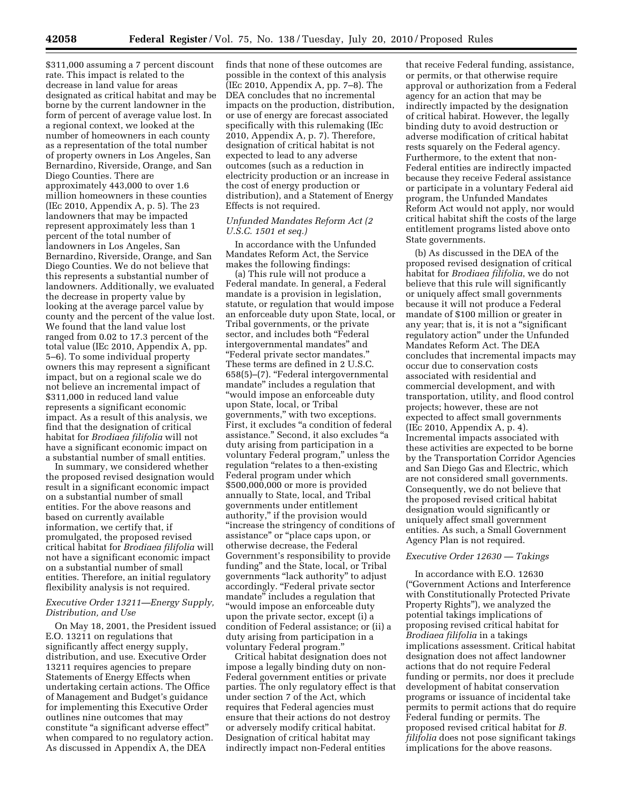\$311,000 assuming a 7 percent discount rate. This impact is related to the decrease in land value for areas designated as critical habitat and may be borne by the current landowner in the form of percent of average value lost. In a regional context, we looked at the number of homeowners in each county as a representation of the total number of property owners in Los Angeles, San Bernardino, Riverside, Orange, and San Diego Counties. There are approximately 443,000 to over 1.6 million homeowners in these counties (IEc 2010, Appendix A, p. 5). The 23 landowners that may be impacted represent approximately less than 1 percent of the total number of landowners in Los Angeles, San Bernardino, Riverside, Orange, and San Diego Counties. We do not believe that this represents a substantial number of landowners. Additionally, we evaluated the decrease in property value by looking at the average parcel value by county and the percent of the value lost. We found that the land value lost ranged from 0.02 to 17.3 percent of the total value (IEc 2010, Appendix A, pp. 5–6). To some individual property owners this may represent a significant impact, but on a regional scale we do not believe an incremental impact of \$311,000 in reduced land value represents a significant economic impact. As a result of this analysis, we find that the designation of critical habitat for *Brodiaea filifolia* will not have a significant economic impact on a substantial number of small entities.

In summary, we considered whether the proposed revised designation would result in a significant economic impact on a substantial number of small entities. For the above reasons and based on currently available information, we certify that, if promulgated, the proposed revised critical habitat for *Brodiaea filifolia* will not have a significant economic impact on a substantial number of small entities. Therefore, an initial regulatory flexibility analysis is not required.

## *Executive Order 13211—Energy Supply, Distribution, and Use*

On May 18, 2001, the President issued E.O. 13211 on regulations that significantly affect energy supply, distribution, and use. Executive Order 13211 requires agencies to prepare Statements of Energy Effects when undertaking certain actions. The Office of Management and Budget's guidance for implementing this Executive Order outlines nine outcomes that may constitute ''a significant adverse effect'' when compared to no regulatory action. As discussed in Appendix A, the DEA

finds that none of these outcomes are possible in the context of this analysis (IEc 2010, Appendix A, pp. 7–8). The DEA concludes that no incremental impacts on the production, distribution, or use of energy are forecast associated specifically with this rulemaking (IEc 2010, Appendix A, p. 7). Therefore, designation of critical habitat is not expected to lead to any adverse outcomes (such as a reduction in electricity production or an increase in the cost of energy production or distribution), and a Statement of Energy Effects is not required.

## *Unfunded Mandates Reform Act (2 U.S.C. 1501 et seq.)*

In accordance with the Unfunded Mandates Reform Act, the Service makes the following findings:

(a) This rule will not produce a Federal mandate. In general, a Federal mandate is a provision in legislation, statute, or regulation that would impose an enforceable duty upon State, local, or Tribal governments, or the private sector, and includes both ''Federal intergovernmental mandates'' and ''Federal private sector mandates.'' These terms are defined in 2 U.S.C. 658(5)–(7). ''Federal intergovernmental mandate'' includes a regulation that ''would impose an enforceable duty upon State, local, or Tribal governments,'' with two exceptions. First, it excludes "a condition of federal assistance.'' Second, it also excludes ''a duty arising from participation in a voluntary Federal program,'' unless the regulation ''relates to a then-existing Federal program under which \$500,000,000 or more is provided annually to State, local, and Tribal governments under entitlement authority,'' if the provision would ''increase the stringency of conditions of assistance'' or ''place caps upon, or otherwise decrease, the Federal Government's responsibility to provide funding'' and the State, local, or Tribal governments ''lack authority'' to adjust accordingly. ''Federal private sector mandate" includes a regulation that ''would impose an enforceable duty upon the private sector, except (i) a condition of Federal assistance; or (ii) a duty arising from participation in a voluntary Federal program.''

Critical habitat designation does not impose a legally binding duty on non-Federal government entities or private parties. The only regulatory effect is that under section 7 of the Act, which requires that Federal agencies must ensure that their actions do not destroy or adversely modify critical habitat. Designation of critical habitat may indirectly impact non-Federal entities

that receive Federal funding, assistance, or permits, or that otherwise require approval or authorization from a Federal agency for an action that may be indirectly impacted by the designation of critical habirat. However, the legally binding duty to avoid destruction or adverse modification of critical habitat rests squarely on the Federal agency. Furthermore, to the extent that non-Federal entities are indirectly impacted because they receive Federal assistance or participate in a voluntary Federal aid program, the Unfunded Mandates Reform Act would not apply, nor would critical habitat shift the costs of the large entitlement programs listed above onto State governments.

(b) As discussed in the DEA of the proposed revised designation of critical habitat for *Brodiaea filifolia*, we do not believe that this rule will significantly or uniquely affect small governments because it will not produce a Federal mandate of \$100 million or greater in any year; that is, it is not a "significant regulatory action'' under the Unfunded Mandates Reform Act. The DEA concludes that incremental impacts may occur due to conservation costs associated with residential and commercial development, and with transportation, utility, and flood control projects; however, these are not expected to affect small governments (IEc 2010, Appendix A, p. 4). Incremental impacts associated with these activities are expected to be borne by the Transportation Corridor Agencies and San Diego Gas and Electric, which are not considered small governments. Consequently, we do not believe that the proposed revised critical habitat designation would significantly or uniquely affect small government entities. As such, a Small Government Agency Plan is not required.

### *Executive Order 12630 — Takings*

In accordance with E.O. 12630 (''Government Actions and Interference with Constitutionally Protected Private Property Rights''), we analyzed the potential takings implications of proposing revised critical habitat for *Brodiaea filifolia* in a takings implications assessment. Critical habitat designation does not affect landowner actions that do not require Federal funding or permits, nor does it preclude development of habitat conservation programs or issuance of incidental take permits to permit actions that do require Federal funding or permits. The proposed revised critical habitat for *B. filifolia* does not pose significant takings implications for the above reasons.